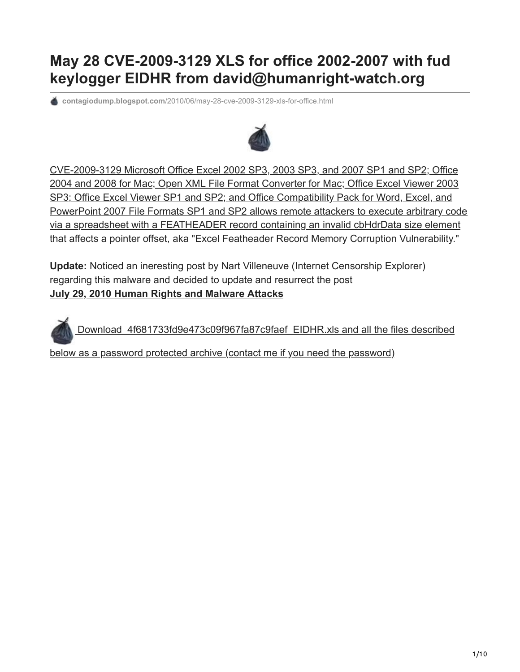# **May 28 CVE-2009-3129 XLS for office 2002-2007 with fud keylogger EIDHR from david@humanright-watch.org**

**contagiodump.blogspot.com**[/2010/06/may-28-cve-2009-3129-xls-for-office.html](https://contagiodump.blogspot.com/2010/06/may-28-cve-2009-3129-xls-for-office.html)



CVE-2009-3129 Microsoft Office Excel 2002 SP3, 2003 SP3, and 2007 SP1 and SP2; Office 2004 and 2008 for Mac; Open XML File Format Converter for Mac; Office Excel Viewer 2003 SP3; Office Excel Viewer SP1 and SP2; and Office Compatibility Pack for Word, Excel, and [PowerPoint 2007 File Formats SP1 and SP2 allows remote attackers to execute arbitrary code](http://cve.mitre.org/cgi-bin/cvename.cgi?name=CVE-2009-3129) via a spreadsheet with a FEATHEADER record containing an invalid cbHdrData size element that affects a pointer offset, aka "Excel Featheader Record Memory Corruption Vulnerability."

**Update:** Noticed an ineresting post by Nart Villeneuve (Internet Censorship Explorer) regarding this malware and decided to update and resurrect the post **[July 29, 2010 Human Rights and Malware Attacks](http://www.nartv.org/2010/07/29/human-rights-and-malware-attacks/)**

 [Download 4f681733fd9e473c09f967fa87c9faef EIDHR.xls and all the files described](http://www.mediafire.com/?h3mzmmdnqtk)

below as a password protected archive (contact me if you need the password)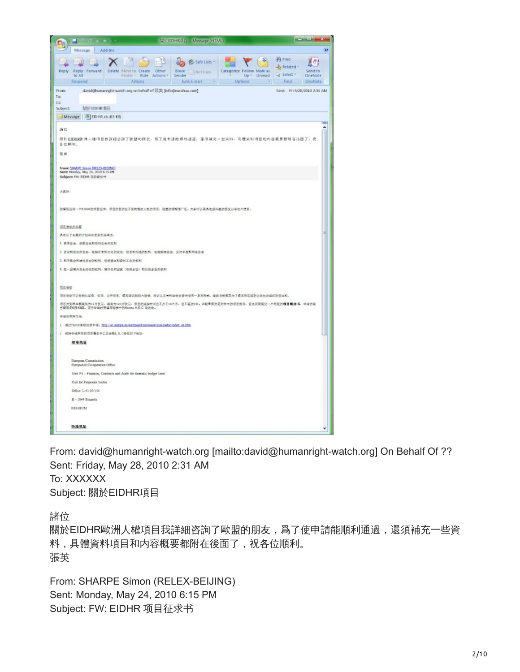| Mill EDHRAE - Message (HTML)<br>$\sim$<br>٠<br>ы                                                                                                                                                                                                                                                                 | $-0.1$                                  |
|------------------------------------------------------------------------------------------------------------------------------------------------------------------------------------------------------------------------------------------------------------------------------------------------------------------|-----------------------------------------|
| Add-Ins<br>Message                                                                                                                                                                                                                                                                                               | œ                                       |
| <b>PA</b> Find<br><b>BS</b> Safe Lists<br>h Related<br>Reply<br>Create<br>Other<br>Block<br>Categorize Follow Mark as<br>Porward<br>Delete<br>Reply<br>Mot Junk<br>Select v<br>to All<br>Folder *<br>Rule Actions<br>Sender<br>$Up =$<br>Unread<br>Junk E-mail G<br>Ta.<br>Actions<br>Options<br>Find<br>Respond | η<br>F<br>Send to<br>OneNote<br>OneNote |
| david@humanright-watch.org on behalf of 張英 [info@eurohua.com]<br>Sent: Fri S/28/2010 2:31 AM<br>From:<br>Ta:<br>Co<br>Subject:<br>直径 EIDHRI看目<br>Message 3 EIDHRab (63 KB)                                                                                                                                       |                                         |
|                                                                                                                                                                                                                                                                                                                  | ۰                                       |
| 請信<br>開於EIDEB股清人雄項目我詳細咨詢了股盟的印发,為了使申請能順利通過,還須補充一查资料,具個交科項目和內容概要部附在後面了,現<br>各位期刊:                                                                                                                                                                                                                                  |                                         |
| 張雄                                                                                                                                                                                                                                                                                                               |                                         |
| From: SHADE Simon (RELEX-BEDINO)<br>Sent: Monday, May 24, 2010 6:15 PM<br>Subject: FM: EDHR IEEE 2: 15                                                                                                                                                                                                           |                                         |
| 大家好。                                                                                                                                                                                                                                                                                                             |                                         |
| 欧军视在有一个红华的项目在水。项目的目的在于变动情动人权的项目,项重的模糊像广泛。大家可以离其危感兴趣的朋友分享这个信息。                                                                                                                                                                                                                                                    |                                         |
| 项目活动的主题                                                                                                                                                                                                                                                                                                          |                                         |
| 具有认下水面的计划子会受到优先专出。                                                                                                                                                                                                                                                                                               |                                         |
| 1. 思考自由, 养教自由和他仰自由的权利                                                                                                                                                                                                                                                                                            |                                         |
| 2. 百论和我达的自由、包修艺术和文化的表达、但思和与通的权利、包修委员自由、反对非查和用语自由                                                                                                                                                                                                                                                                 |                                         |
| 3. 和平集会和幼社自由的权利, 包括建立和参加工会的权利                                                                                                                                                                                                                                                                                    |                                         |
| 4. 在一些被内在由行动的权利。高开任何因素(依頼本因)和因则本因的权利                                                                                                                                                                                                                                                                             |                                         |
|                                                                                                                                                                                                                                                                                                                  |                                         |
| 提出地位<br><b>范目感动可以包括从监督。但事,公开信息,偏离意识影响力通信,培训以及与利益优美香叶语等一系列用式。最终目标都是为了偏离刑事国的公民社会组织对目主义。</b>                                                                                                                                                                                                                        |                                         |
| 京日的变动单模最低为15万款元。最高为130万数元。京日的延续时间应不少于18个月,但不超过1年,以较早要的是附件中的京日想导、首先商奖提交一个同班的 <b>项目概念书</b> 、申请的最<br>后期限是6月15日, 项目申请时要填写档案中的Annex A.B.C 等表格。                                                                                                                                                                        |                                         |
| 中语有同种方法:                                                                                                                                                                                                                                                                                                         |                                         |
| 1. 通过FADOR系统按照中语。加加 Oec.estops.ex/estopeddicelineary/cas/pador/index.en.html                                                                                                                                                                                                                                     |                                         |
| 2. 成時申請所需的項目概念书以及表格4,8,0新往如下抽出:                                                                                                                                                                                                                                                                                  |                                         |
| 部務機能                                                                                                                                                                                                                                                                                                             |                                         |
| <b>Duropege</b> Commission<br>Sumpoled Co-operation Office                                                                                                                                                                                                                                                       |                                         |
| Unit F4 - Finances, Contracts and Audit for thematic budget lines                                                                                                                                                                                                                                                |                                         |
| Call for Proposals Sector                                                                                                                                                                                                                                                                                        |                                         |
| Office 1.41 03/154                                                                                                                                                                                                                                                                                               |                                         |
| B - 1049 Emanda                                                                                                                                                                                                                                                                                                  |                                         |
| <b>BELGEIM</b>                                                                                                                                                                                                                                                                                                   |                                         |
| 快適推進                                                                                                                                                                                                                                                                                                             |                                         |

From: david@humanright-watch.org [mailto:david@humanright-watch.org] On Behalf Of ?? Sent: Friday, May 28, 2010 2:31 AM To: XXXXXX Subject: 關於EIDHR項目

諸位

關於EIDHR歐洲人權項目我詳細咨詢了歐盟的朋友,爲了使申請能順利通過,還須補充一些資 料,具體資料項目和内容概要都附在後面了,祝各位順利。 張英

From: SHARPE Simon (RELEX-BEIJING) Sent: Monday, May 24, 2010 6:15 PM Subject: FW: EIDHR 项目征求书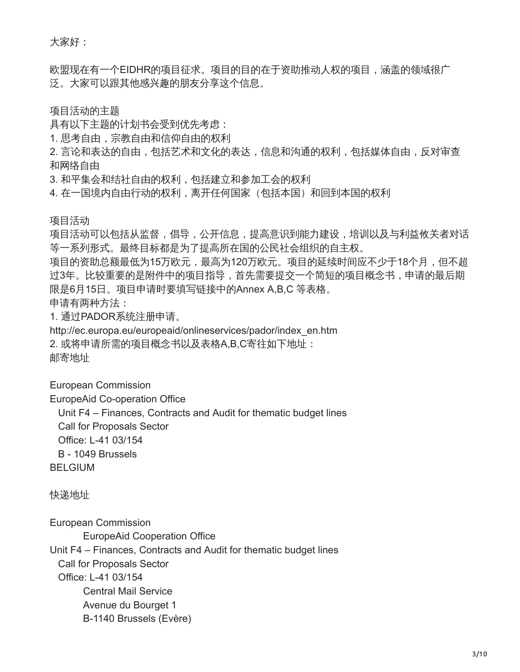大家好:

欧盟现在有一个EIDHR的项目征求。项目的目的在于资助推动人权的项目,涵盖的领域很广 泛。大家可以跟其他感兴趣的朋友分享这个信息。

项目活动的主题

具有以下主题的计划书会受到优先考虑:

1. 思考自由,宗教自由和信仰自由的权利

2. 言论和表达的自由, 包括艺术和文化的表达, 信息和沟通的权利, 包括媒体自由, 反对审查 和网络自由

3. 和平集会和结社自由的权利,包括建立和参加工会的权利

4. 在一国境内自由行动的权利, 离开任何国家(包括本国)和回到本国的权利

项目活动

项目活动可以包括从监督,倡导,公开信息,提高意识到能力建设,培训以及与利益攸关者对话 等一系列形式。最终目标都是为了提高所在国的公民社会组织的自主权。

项目的资助总额最低为15万欧元,最高为120万欧元。项目的延续时间应不少于18个月,但不超 过3年。比较重要的是附件中的项目指导,首先需要提交一个简短的项目概念书,申请的最后期 限是6月15日。项目申请时要填写链接中的Annex A,B,C 等表格。

申请有两种方法:

1. 通过PADOR系统注册申请。

http://ec.europa.eu/europeaid/onlineservices/pador/index\_en.htm

2. 或将申请所需的项目概念书以及表格A,B,C寄往如下地址:

邮寄地址

European Commission

EuropeAid Co-operation Office

Unit F4 – Finances, Contracts and Audit for thematic budget lines

Call for Proposals Sector

Office: L-41 03/154

B - 1049 Brussels

BELGIUM

快递地址

European Commission

EuropeAid Cooperation Office

Unit F4 – Finances, Contracts and Audit for thematic budget lines

Call for Proposals Sector

Office: L-41 03/154

 Central Mail Service Avenue du Bourget 1

B-1140 Brussels (Evère)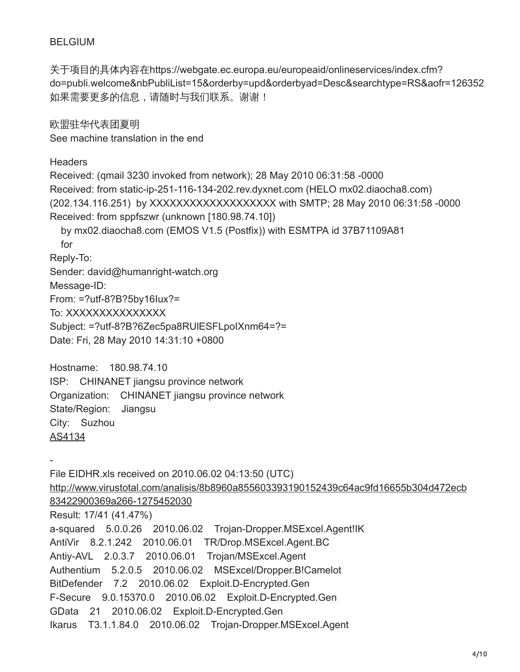### BELGIUM

关于项目的具体内容在https://webgate.ec.europa.eu/europeaid/onlineservices/index.cfm? do=publi.welcome&nbPubliList=15&orderby=upd&orderbyad=Desc&searchtype=RS&aofr=126352 如果需要更多的信息,请随时与我们联系。谢谢!

欧盟驻华代表团夏明 See machine translation in the end

**Headers** 

Received: (qmail 3230 invoked from network); 28 May 2010 06:31:58 -0000 Received: from static-ip-251-116-134-202.rev.dyxnet.com (HELO mx02.diaocha8.com) (202.134.116.251) by XXXXXXXXXXXXXXXXXXX with SMTP; 28 May 2010 06:31:58 -0000 Received: from sppfszwr (unknown [180.98.74.10]) by mx02.diaocha8.com (EMOS V1.5 (Postfix)) with ESMTPA id 37B71109A81 for Reply-To: Sender: david@humanright-watch.org Message-ID: From: =?utf-8?B?5by16Iux?= To: XXXXXXXXXXXXXX Subject: =?utf-8?B?6Zec5pa8RUlESFLpoIXnm64=?= Date: Fri, 28 May 2010 14:31:10 +0800

Hostname: 180.98.74.10 ISP: CHINANET jiangsu province network Organization: CHINANET jiangsu province network State/Region: Jiangsu City: Suzhou [AS4134](http://www.robtex.com/as/as4134.html)

- File EIDHR.xls received on 2010.06.02 04:13:50 (UTC) [http://www.virustotal.com/analisis/8b8960a855603393190152439c64ac9fd16655b304d472ecb](http://www.virustotal.com/analisis/8b8960a855603393190152439c64ac9fd16655b304d472ecb83422900369a266-1275452030) 83422900369a266-1275452030 Result: 17/41 (41.47%) a-squared 5.0.0.26 2010.06.02 Trojan-Dropper.MSExcel.Agent!IK AntiVir 8.2.1.242 2010.06.01 TR/Drop.MSExcel.Agent.BC Antiy-AVL 2.0.3.7 2010.06.01 Trojan/MSExcel.Agent Authentium 5.2.0.5 2010.06.02 MSExcel/Dropper.B!Camelot BitDefender 7.2 2010.06.02 Exploit.D-Encrypted.Gen F-Secure 9.0.15370.0 2010.06.02 Exploit.D-Encrypted.Gen GData 21 2010.06.02 Exploit.D-Encrypted.Gen Ikarus T3.1.1.84.0 2010.06.02 Trojan-Dropper.MSExcel.Agent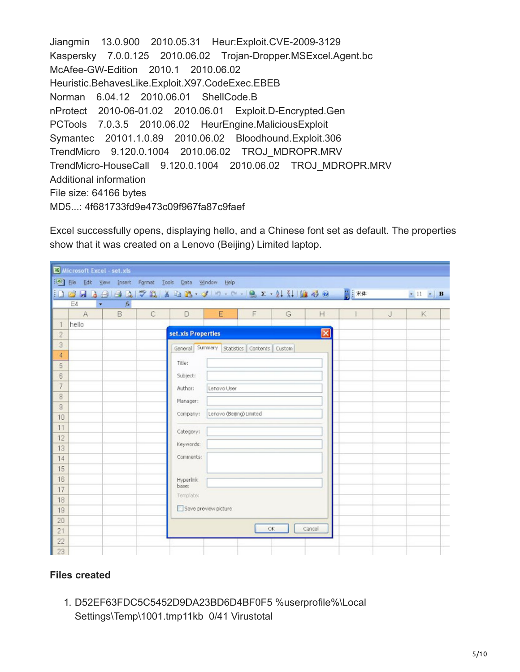```
Jiangmin 13.0.900 2010.05.31 Heur:Exploit.CVE-2009-3129
Kaspersky 7.0.0.125 2010.06.02 Trojan-Dropper.MSExcel.Agent.bc
McAfee-GW-Edition 2010.1 2010.06.02 
Heuristic.BehavesLike.Exploit.X97.CodeExec.EBEB
Norman 6.04.12 2010.06.01 ShellCode.B
nProtect 2010-06-01.02 2010.06.01 Exploit.D-Encrypted.Gen
PCTools 7.0.3.5 2010.06.02 HeurEngine.MaliciousExploit
Symantec 20101.1.0.89 2010.06.02 Bloodhound.Exploit.306
TrendMicro 9.120.0.1004 2010.06.02 TROJ_MDROPR.MRV
TrendMicro-HouseCall 9.120.0.1004 2010.06.02 TROJ_MDROPR.MRV
Additional information
File size: 64166 bytes
MD5...: 4f681733fd9e473c09f967fa87c9faef
```
Excel successfully opens, displaying hello, and a Chinese font set as default. The properties show that it was created on a Lenovo (Beijing) Limited laptop.

|                     | Microsoft Excel - set.xls                           |    |              |                                                                                                                                                                                                                                                                                                                                                                                                                                                                                  |                          |                                            |     |              |  |   |                                 |
|---------------------|-----------------------------------------------------|----|--------------|----------------------------------------------------------------------------------------------------------------------------------------------------------------------------------------------------------------------------------------------------------------------------------------------------------------------------------------------------------------------------------------------------------------------------------------------------------------------------------|--------------------------|--------------------------------------------|-----|--------------|--|---|---------------------------------|
|                     | File Edit View Insert Format Tools Data Window Help |    |              |                                                                                                                                                                                                                                                                                                                                                                                                                                                                                  |                          |                                            |     |              |  |   |                                 |
|                     |                                                     |    |              | $\  \mathbf{1} \otimes \mathbf{1} \otimes \mathbf{1} \otimes \mathbf{2} \  \mathbf{1} \otimes \mathbf{1} \otimes \mathbf{1} \otimes \mathbf{1} \otimes \mathbf{1} \otimes \mathbf{1} \otimes \mathbf{1} \otimes \mathbf{1} \otimes \mathbf{1} \otimes \mathbf{1} \otimes \mathbf{1} \otimes \mathbf{1} \otimes \mathbf{1} \otimes \mathbf{1} \otimes \mathbf{1} \otimes \mathbf{1} \otimes \mathbf{1} \otimes \mathbf{1} \otimes \mathbf{1} \otimes \mathbf{1} \otimes \mathbf{$ |                          |                                            |     |              |  |   | $\bullet$ 11 $\bullet$ <b>B</b> |
|                     | E4<br>$ \hbar$<br>٠                                 |    |              |                                                                                                                                                                                                                                                                                                                                                                                                                                                                                  |                          |                                            |     |              |  |   |                                 |
|                     | A                                                   | B. | $\mathbb{C}$ | D                                                                                                                                                                                                                                                                                                                                                                                                                                                                                | E                        | F                                          | G   | H            |  | J | K                               |
| $\mathbf{1}$        | hello                                               |    |              |                                                                                                                                                                                                                                                                                                                                                                                                                                                                                  |                          |                                            |     |              |  |   |                                 |
| $\overline{c}$      |                                                     |    |              | set.xls Properties                                                                                                                                                                                                                                                                                                                                                                                                                                                               |                          |                                            |     | $\mathbf{x}$ |  |   |                                 |
| 3                   |                                                     |    |              |                                                                                                                                                                                                                                                                                                                                                                                                                                                                                  |                          | General Summary Statistics Contents Custom |     |              |  |   |                                 |
| $\overline{4}$<br>5 |                                                     |    |              | Title:                                                                                                                                                                                                                                                                                                                                                                                                                                                                           |                          |                                            |     |              |  |   |                                 |
| $\overline{6}$      |                                                     |    |              | Subject:                                                                                                                                                                                                                                                                                                                                                                                                                                                                         |                          |                                            |     |              |  |   |                                 |
| 7                   |                                                     |    |              | Author:                                                                                                                                                                                                                                                                                                                                                                                                                                                                          | Lenovo User              |                                            |     |              |  |   |                                 |
| 8                   |                                                     |    |              |                                                                                                                                                                                                                                                                                                                                                                                                                                                                                  |                          |                                            |     |              |  |   |                                 |
| 9                   |                                                     |    |              | Manager:                                                                                                                                                                                                                                                                                                                                                                                                                                                                         |                          |                                            |     |              |  |   |                                 |
| 10                  |                                                     |    |              | Company:                                                                                                                                                                                                                                                                                                                                                                                                                                                                         | Lenovo (Beijing) Limited |                                            |     |              |  |   |                                 |
| 11                  |                                                     |    |              | Category:                                                                                                                                                                                                                                                                                                                                                                                                                                                                        |                          |                                            |     |              |  |   |                                 |
| 12                  |                                                     |    |              | Keywords:                                                                                                                                                                                                                                                                                                                                                                                                                                                                        |                          |                                            |     |              |  |   |                                 |
| 13                  |                                                     |    |              |                                                                                                                                                                                                                                                                                                                                                                                                                                                                                  |                          |                                            |     |              |  |   |                                 |
| 14                  |                                                     |    |              | Comments:                                                                                                                                                                                                                                                                                                                                                                                                                                                                        |                          |                                            |     |              |  |   |                                 |
| 15 <sub>15</sub>    |                                                     |    |              |                                                                                                                                                                                                                                                                                                                                                                                                                                                                                  |                          |                                            |     |              |  |   |                                 |
| 16<br>17            |                                                     |    |              | Hyperlink<br>base:                                                                                                                                                                                                                                                                                                                                                                                                                                                               |                          |                                            |     |              |  |   |                                 |
| 18                  |                                                     |    |              | Template:                                                                                                                                                                                                                                                                                                                                                                                                                                                                        |                          |                                            |     |              |  |   |                                 |
| 19                  |                                                     |    |              | Save preview picture                                                                                                                                                                                                                                                                                                                                                                                                                                                             |                          |                                            |     |              |  |   |                                 |
| 20                  |                                                     |    |              |                                                                                                                                                                                                                                                                                                                                                                                                                                                                                  |                          |                                            |     |              |  |   |                                 |
| 21                  |                                                     |    |              |                                                                                                                                                                                                                                                                                                                                                                                                                                                                                  |                          |                                            | OK. | Cancel       |  |   |                                 |
| 22                  |                                                     |    |              |                                                                                                                                                                                                                                                                                                                                                                                                                                                                                  |                          |                                            |     |              |  |   |                                 |
| 23 <sup>°</sup>     |                                                     |    |              |                                                                                                                                                                                                                                                                                                                                                                                                                                                                                  |                          |                                            |     |              |  |   |                                 |

#### **Files created**

1. D52EF63FDC5C5452D9DA23BD6D4BF0F5 %userprofile%\Local Settings\Temp\1001.tmp11kb 0/41 Virustotal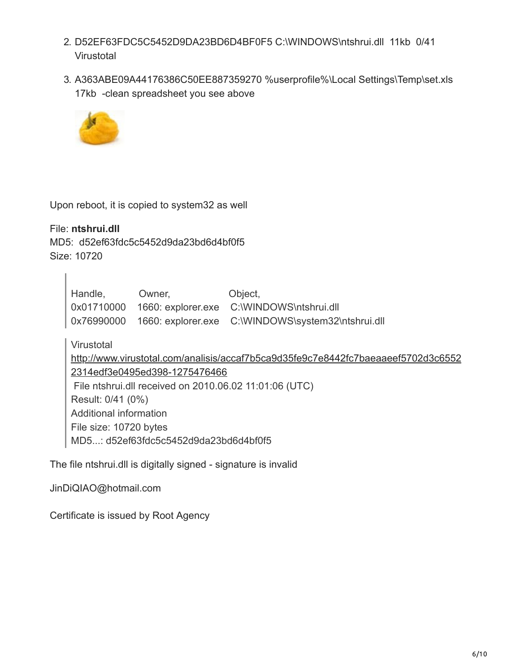- 2. D52EF63FDC5C5452D9DA23BD6D4BF0F5 C:\WINDOWS\ntshrui.dll 11kb 0/41 **Virustotal**
- 3. A363ABE09A44176386C50EE887359270 %userprofile%\Local Settings\Temp\set.xls 17kb -clean spreadsheet you see above



Upon reboot, it is copied to system32 as well

File: **ntshrui.dll** MD5: d52ef63fdc5c5452d9da23bd6d4bf0f5 Size: 10720

| Handle, | Owner, | Object,                                                       |
|---------|--------|---------------------------------------------------------------|
|         |        | 0x01710000 1660: explorer.exe C:\WINDOWS\ntshrui.dll          |
|         |        | 0x76990000 1660: explorer.exe C:\WINDOWS\system32\ntshrui.dll |

Virustotal

[http://www.virustotal.com/analisis/accaf7b5ca9d35fe9c7e8442fc7baeaaeef5702d3c6552](http://www.virustotal.com/analisis/accaf7b5ca9d35fe9c7e8442fc7baeaaeef5702d3c65522314edf3e0495ed398-1275476466) 2314edf3e0495ed398-1275476466 File ntshrui.dll received on 2010.06.02 11:01:06 (UTC) Result: 0/41 (0%) Additional information File size: 10720 bytes MD5...: d52ef63fdc5c5452d9da23bd6d4bf0f5

The file ntshrui.dll is digitally signed - signature is invalid

JinDiQIAO@hotmail.com

Certificate is issued by Root Agency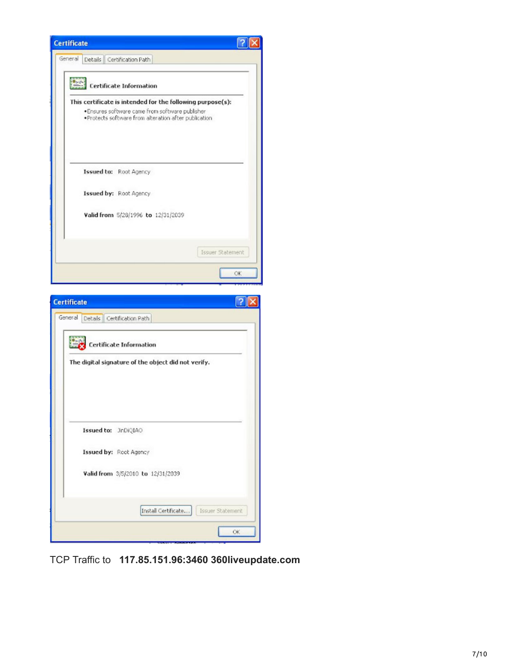

TCP Traffic to **117.85.151.96:3460 360liveupdate.com**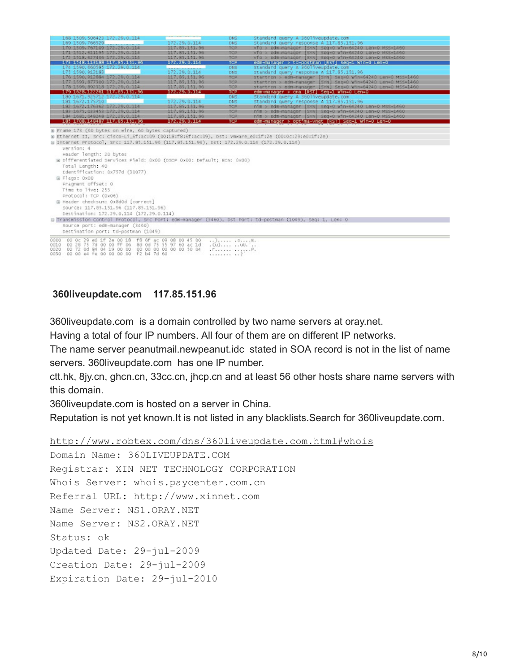| 168 1509, 506423 172, 29, 0, 114                                                                                                                                                                                                                                                                                                                                       |                   | <b>DNS</b>                                   | Standard query A 36011veupdate, com                         |  |  |
|------------------------------------------------------------------------------------------------------------------------------------------------------------------------------------------------------------------------------------------------------------------------------------------------------------------------------------------------------------------------|-------------------|----------------------------------------------|-------------------------------------------------------------|--|--|
| 169 1509, 766529                                                                                                                                                                                                                                                                                                                                                       | 172.29.0.114      | DNS                                          | standard query response A 117.85.151.96                     |  |  |
| 170 1509, 767109 172, 29, 0, 114                                                                                                                                                                                                                                                                                                                                       | 117.85.151.96     | TCP                                          | vfo > edn-manager [SYN] seg=0 Win=64240 Len=0 MSS=1460      |  |  |
| 171 1512, 611195 172, 29.0.114                                                                                                                                                                                                                                                                                                                                         | 117.85.151.96     | <b>TCP</b>                                   | vto > edm-manager [SYN] Seg=0 Win=64240 Len=0 MSS=1460      |  |  |
| 172 1518 027436 172 29 0 114                                                                                                                                                                                                                                                                                                                                           | 117.85.151.96     | TCP                                          | vfo > edm-manager [SYN] Seq=0 Win=64240 Len=0 MSS=1460      |  |  |
| <b>NADARRERIES NAVSKORP</b>                                                                                                                                                                                                                                                                                                                                            | <b>MARATORIES</b> | TCP                                          | edm-manager > td-postman [RST] Seg=1 Win=0 Len=0            |  |  |
| 174 1590, 660585 172, 29, 0, 114                                                                                                                                                                                                                                                                                                                                       | 172.29.0.114      | DNS                                          | Standard query A 36011veupdate, com                         |  |  |
| 175 1590, 912183                                                                                                                                                                                                                                                                                                                                                       |                   | DNS                                          | standard query response A 117.85.151.96                     |  |  |
| 176 1590.912884 172.29.0.114                                                                                                                                                                                                                                                                                                                                           | 117.85.151.96     | TCP                                          | startron > edm-manager [SYN] Seg=0 Win=64240 Len=0 MSS=1460 |  |  |
| 177 1593 877300 172 29 0 114                                                                                                                                                                                                                                                                                                                                           | 117.85.151.96     | TCP                                          | startron > edm-manager [SYN] Seg=0 W1n=64240 Len=0 MSS=1460 |  |  |
| 178 1599, 892318 172.29.0.114                                                                                                                                                                                                                                                                                                                                          | 117.85.151.96     | TCP                                          | startron > edm-manager [SYN] Seq=0 Win=64240 Len=0 MSS=1460 |  |  |
| 179 1628, 122261 117, 85, 151, 96                                                                                                                                                                                                                                                                                                                                      | 172.29.0.114      | <b>TCP</b>                                   | edm-manager > cma [RST] Seg=1 Win=0 Len=0                   |  |  |
| 180 1671, 925712 172, 29, 0, 114                                                                                                                                                                                                                                                                                                                                       |                   | DNS                                          | standard query A 36011veupdate, com                         |  |  |
| 181 1672.175710                                                                                                                                                                                                                                                                                                                                                        | 172.29.0.114      | DNS.                                         | standard query response A 117.85.151.96                     |  |  |
| 182 1672.176362 172.29.0.114                                                                                                                                                                                                                                                                                                                                           | 117.85.151.96     | TCP                                          | nim > edm-manager [SYN] Seg=0 Win=64240 Len=0 MSS=1460      |  |  |
| 183 1675 033453 172 29 0 114                                                                                                                                                                                                                                                                                                                                           | 117.85.151.96     | TCP                                          | nim > edm-manager [SYN] Seg=0 Win=64240 Len=0 MSS=1460      |  |  |
| 184 1681.048248 172.29.0.114                                                                                                                                                                                                                                                                                                                                           | 117.85.151.96     | TCP                                          | nim > edm-manager [SYN] Seq=0 Win=64240 Len=0 MSS=1460      |  |  |
| 185 1708.148487 117.85.151.96                                                                                                                                                                                                                                                                                                                                          | 172.29.0.114      | TCP                                          | edm-manager > optima-vnet [RST] Seq=1 Win=0 Len=0           |  |  |
| Header length: 20 bytes<br>W Differentiated Services Field: 0x00 (DSCP 0x00: Default; ECN: 0x00)<br>Total Length: 40<br>Identification: 0x757d (30077)<br>B Flags: 0x00<br>Fragment offset: 0<br>Time to live: 255<br>Protocol: TCP (0x06)<br>W Header checksum: 0x8d0d [correct]<br>source: 117.85.151.96 (117.85.151.96)<br>Destination: 172.29.0.114 (172.29.0.114) |                   |                                              |                                                             |  |  |
| E Transmission control Protocol, Src Port: edm-manager (3460), DST Port: td-postman (1049), Seg: 1, Len: 0                                                                                                                                                                                                                                                             |                   |                                              |                                                             |  |  |
| Source port: edm-manager (3460)<br>Destination port: td-postman (1049)                                                                                                                                                                                                                                                                                                 |                   |                                              |                                                             |  |  |
| 0000 00 0c 29 e0 1f 2e 00 18 f8 6f ac 09 08 00 45 00<br>0010 00 28 75 7d 00 00 ff 06 8d 0d 75 55 97 60 ac 1d<br>0020 00 72 0d 84 04 19 00 00 00 00 00 00 00 00 00 10 04<br>0030 00 00 e4 fe 00 00 00 00 f2 b4 7d 60                                                                                                                                                    |                   | .CUIUU<br>$\mathbf{F}$<br><b>***********</b> |                                                             |  |  |

#### **360liveupdate.com 117.85.151.96**

360liveupdate.com is a domain controlled by two name servers at oray.net.

Having a total of four IP numbers. All four of them are on different IP networks.

The name server peanutmail.newpeanut.idc stated in SOA record is not in the list of name servers. 360liveupdate.com has one IP number.

ctt.hk, 8jy.cn, ghcn.cn, 33cc.cn, jhcp.cn and at least 56 other hosts share name servers with this domain.

360liveupdate.com is hosted on a server in China.

Reputation is not yet known.It is not listed in any blacklists.Search for 360liveupdate.com.

<http://www.robtex.com/dns/360liveupdate.com.html#whois>

```
Domain Name: 360LIVEUPDATE.COM
Registrar: XIN NET TECHNOLOGY CORPORATION
Whois Server: whois.paycenter.com.cn
Referral URL: http://www.xinnet.com
Name Server: NS1.ORAY.NET
Name Server: NS2.ORAY.NET
Status: ok
Updated Date: 29-jul-2009
Creation Date: 29-jul-2009
Expiration Date: 29-jul-2010
```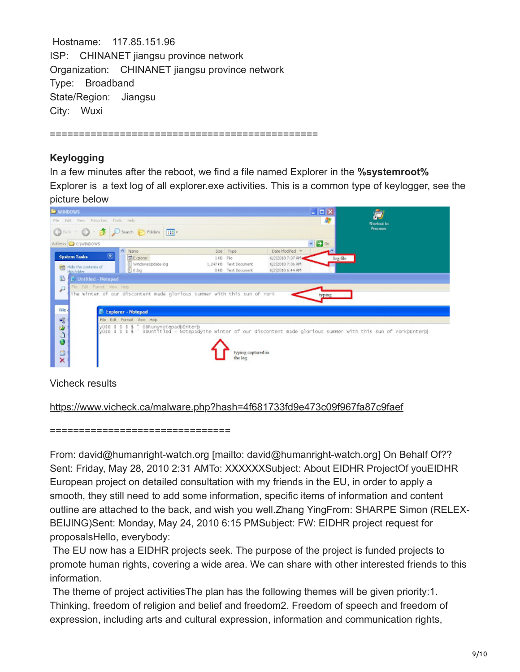Hostname: 117.85.151.96 ISP: CHINANET jiangsu province network Organization: CHINANET jiangsu province network Type: Broadband State/Region: Jiangsu City: Wuxi

==============================================

## **Keylogging**

In a few minutes after the reboot, we find a file named Explorer in the **%systemroot%** Explorer is a text log of all explorer.exe activities. This is a common type of keylogger, see the picture below

| <b>E</b> WINDOWS                                                                                                                                                                                                                                                                                                  | $ \Box$ $\times$              |
|-------------------------------------------------------------------------------------------------------------------------------------------------------------------------------------------------------------------------------------------------------------------------------------------------------------------|-------------------------------|
| File Edit View Favorites Tools Help                                                                                                                                                                                                                                                                               | A.<br>Shortout to             |
| Gast - 0 - 2 D Starth E Folders III-                                                                                                                                                                                                                                                                              | <b>Procreon</b>               |
| Address C C:\WINDOWS                                                                                                                                                                                                                                                                                              | $\vee$ $\rightarrow$ $\infty$ |
| $\wedge$ Name<br>Date Modified =<br>Size Type<br>$\circledast$<br><b>System Tasks</b><br>Explorer<br>6/2/2010 7:37 AM<br>1KB File<br>III WindowsUpdate.log<br>6/2/2010 7:36 AM<br>1,247 KB Text Document<br>Hide the contents of<br><b>em</b><br>$0.$ log<br>018 Test Document<br>6/2/2010 6:44 AM<br>this folder | log file                      |
| 勫<br><b>C</b> Untitled - Notepad                                                                                                                                                                                                                                                                                  |                               |
| File Edit Format View Help<br>۵<br>The winter of our discontent made glorious summer with this sun of York                                                                                                                                                                                                        | typing                        |
| File 4<br>E Explorer - Notepad<br>2309<br>File Edit Format View Help<br>yûse s s s s " öeRunynotepadbEnterb<br>yûse s s s \$ ' seuntitled – NotepadyThe winter of our discontent made glorious summer with this sun of YorkbEnterb<br>typing captured in                                                          |                               |
| $\times$<br>the log                                                                                                                                                                                                                                                                                               |                               |

Vicheck results

<https://www.vicheck.ca/malware.php?hash=4f681733fd9e473c09f967fa87c9faef>

===============================

From: david@humanright-watch.org [mailto: david@humanright-watch.org] On Behalf Of?? Sent: Friday, May 28, 2010 2:31 AMTo: XXXXXXSubject: About EIDHR ProjectOf youEIDHR European project on detailed consultation with my friends in the EU, in order to apply a smooth, they still need to add some information, specific items of information and content outline are attached to the back, and wish you well.Zhang YingFrom: SHARPE Simon (RELEX-BEIJING)Sent: Monday, May 24, 2010 6:15 PMSubject: FW: EIDHR project request for proposalsHello, everybody:

The EU now has a EIDHR projects seek. The purpose of the project is funded projects to promote human rights, covering a wide area. We can share with other interested friends to this information.

The theme of project activitiesThe plan has the following themes will be given priority:1. Thinking, freedom of religion and belief and freedom2. Freedom of speech and freedom of expression, including arts and cultural expression, information and communication rights,